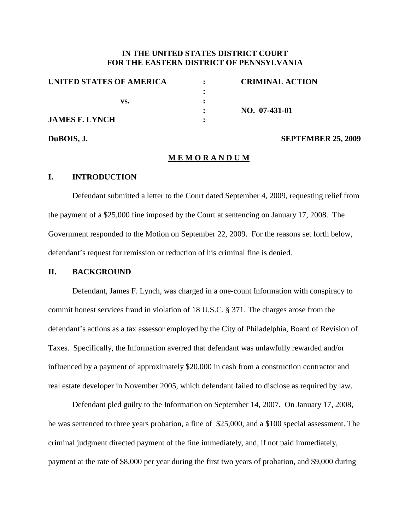# **IN THE UNITED STATES DISTRICT COURT FOR THE EASTERN DISTRICT OF PENNSYLVANIA**

| UNITED STATES OF AMERICA     | <b>CRIMINAL ACTION</b> |
|------------------------------|------------------------|
| VS.<br><b>JAMES F. LYNCH</b> |                        |
|                              |                        |
|                              | NO. 07-431-01          |
|                              |                        |
|                              |                        |

#### **DuBOIS, J. SEPTEMBER 25, 2009**

#### **M E M O R A N D U M**

## **I. INTRODUCTION**

Defendant submitted a letter to the Court dated September 4, 2009, requesting relief from the payment of a \$25,000 fine imposed by the Court at sentencing on January 17, 2008. The Government responded to the Motion on September 22, 2009. For the reasons set forth below, defendant's request for remission or reduction of his criminal fine is denied.

#### **II. BACKGROUND**

Defendant, James F. Lynch, was charged in a one-count Information with conspiracy to commit honest services fraud in violation of 18 U.S.C. § 371. The charges arose from the defendant's actions as a tax assessor employed by the City of Philadelphia, Board of Revision of Taxes. Specifically, the Information averred that defendant was unlawfully rewarded and/or influenced by a payment of approximately \$20,000 in cash from a construction contractor and real estate developer in November 2005, which defendant failed to disclose as required by law.

Defendant pled guilty to the Information on September 14, 2007. On January 17, 2008, he was sentenced to three years probation, a fine of \$25,000, and a \$100 special assessment. The criminal judgment directed payment of the fine immediately, and, if not paid immediately, payment at the rate of \$8,000 per year during the first two years of probation, and \$9,000 during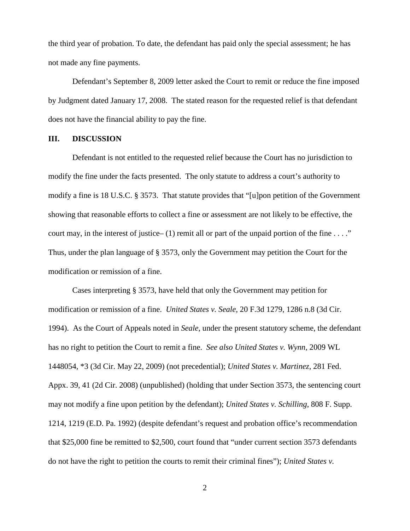the third year of probation. To date, the defendant has paid only the special assessment; he has not made any fine payments.

Defendant's September 8, 2009 letter asked the Court to remit or reduce the fine imposed by Judgment dated January 17, 2008. The stated reason for the requested relief is that defendant does not have the financial ability to pay the fine.

#### **III. DISCUSSION**

Defendant is not entitled to the requested relief because the Court has no jurisdiction to modify the fine under the facts presented. The only statute to address a court's authority to modify a fine is 18 U.S.C. § 3573. That statute provides that "[u]pon petition of the Government showing that reasonable efforts to collect a fine or assessment are not likely to be effective, the court may, in the interest of justice–  $(1)$  remit all or part of the unpaid portion of the fine ...." Thus, under the plan language of § 3573, only the Government may petition the Court for the modification or remission of a fine.

Cases interpreting § 3573, have held that only the Government may petition for modification or remission of a fine. *United States v. Seale*, 20 F.3d 1279, 1286 n.8 (3d Cir. 1994). As the Court of Appeals noted in *Seale*, under the present statutory scheme, the defendant has no right to petition the Court to remit a fine. *See also United States v. Wynn*, 2009 WL 1448054, \*3 (3d Cir. May 22, 2009) (not precedential); *United States v. Martinez*, 281 Fed. Appx. 39, 41 (2d Cir. 2008) (unpublished) (holding that under Section 3573, the sentencing court may not modify a fine upon petition by the defendant); *United States v. Schilling*, 808 F. Supp. 1214, 1219 (E.D. Pa. 1992) (despite defendant's request and probation office's recommendation that \$25,000 fine be remitted to \$2,500, court found that "under current section 3573 defendants do not have the right to petition the courts to remit their criminal fines"); *United States v.*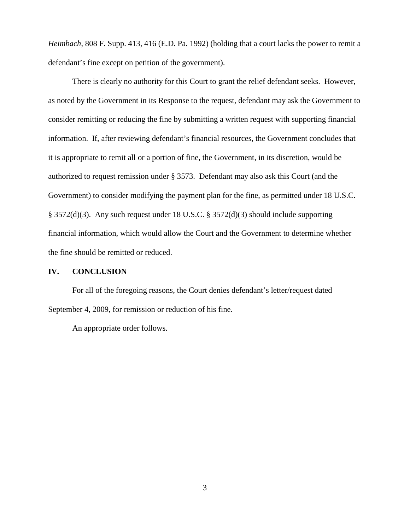*Heimbach*, 808 F. Supp. 413, 416 (E.D. Pa. 1992) (holding that a court lacks the power to remit a defendant's fine except on petition of the government).

There is clearly no authority for this Court to grant the relief defendant seeks. However, as noted by the Government in its Response to the request, defendant may ask the Government to consider remitting or reducing the fine by submitting a written request with supporting financial information. If, after reviewing defendant's financial resources, the Government concludes that it is appropriate to remit all or a portion of fine, the Government, in its discretion, would be authorized to request remission under § 3573. Defendant may also ask this Court (and the Government) to consider modifying the payment plan for the fine, as permitted under 18 U.S.C. § 3572(d)(3). Any such request under 18 U.S.C. § 3572(d)(3) should include supporting financial information, which would allow the Court and the Government to determine whether the fine should be remitted or reduced.

#### **IV. CONCLUSION**

For all of the foregoing reasons, the Court denies defendant's letter/request dated September 4, 2009, for remission or reduction of his fine.

An appropriate order follows.